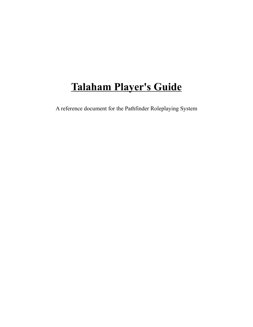# **Talaham Player's Guide**

A reference document for the Pathfinder Roleplaying System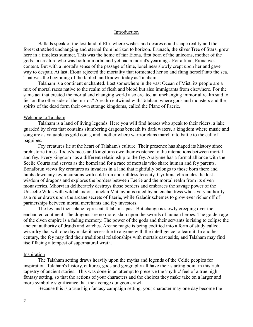#### Introduction

Ballads speak of the lost land of Elir, where wishes and desires could shape reality and the forest stretched unchanging and eternal from horizon to horizon. Erunach, the silver Tree of Stars, grew here in a timeless summer. This was the home of fair Eiona, first born of the unicorns, mother of the gods - a creature who was both immortal and yet had a mortal's yearnings. For a time, Eiona was content. But with a mortal's sense of the passage of time, loneliness slowly crept upon her and gave way to despair. At last, Eiona rejected the mortality that tormented her so and flung herself into the sea. That was the beginning of the fabled land known today as Talaham.

Talaham is a continent enchanted. Lost somewhere in the vast Ocean of Mist, its people are a mix of mortal races native to the realm of flesh and blood but also immigrants from elsewhere. For the same act that created the mortal and changing world also created an unchanging immortal realm said to lie "on the other side of the mirror." A realm entwined with Talaham where gods and monsters and the spirits of the dead form their own strange kingdoms, called the Plane of Faerie.

#### Welcome to Talaham

Talaham is a land of living legends. Here you will find horses who speak to their riders, a lake guarded by elves that contains slumbering dragons beneath its dark waters, a kingdom where music and song are as valuable as gold coins, and another where warrior clans march into battle to the call of bagpipes.

Fey creatures lie at the heart of Talaham's culture. Their presence has shaped its history since prehistoric times. Today's races and kingdoms owe their existence to the interactions between mortal and fey. Every kingdom has a different relationship to the fey. Aralynne has a formal alliance with the Seelie Courts and serves as the homeland for a race of mortals who share human and fey parents. Bonalbrun views fey creatures as invaders in a land that rightfully belongs to those born there and hunts down any fey incursions with cold iron and ruthless ferocity. Cyrthraia chronicles the lost wisdom of dragons and explores the borders between Faerie and the mortal realm from its elven monasteries. Mhorvian deliberately destroys those borders and embraces the savage power of the Unseelie Wilds with wild abandon. Innelan Mathavon is ruled by an enchantress who's very authority as a ruler draws upon the arcane secrets of Faerie, while Galadir schemes to grow ever richer off of partnerships between mortal merchants and fey investors.

The fey and their plane represent Talaham's past. But change is slowly creeping over the enchanted continent. The dragons are no more, slain upon the swords of human heroes. The golden age of the elven empire is a fading memory. The power of the gods and their servants is rising to eclipse the ancient authority of druids and witches. Arcane magic is being codified into a form of study called wizardry that will one day make it accessible to anyone with the intelligence to learn it. In another century, the fey may find their traditional relationships with mortals cast aside, and Talaham may find itself facing a tempest of supernatural wrath.

#### Inspiration

The Talaham setting draws heavily upon the myths and legends of the Celtic peoples for inspiration. Talaham's history, cultures, gods and geography all have their starting point in this rich tapestry of ancient stories. This was done in an attempt to preserve the 'mythic' feel of a true high fantasy setting, so that the actions of your characters and the choices they make take on a larger and more symbolic significance that the average dungeon crawl.

Because this is a true high fantasy campaign setting, your character may one day become the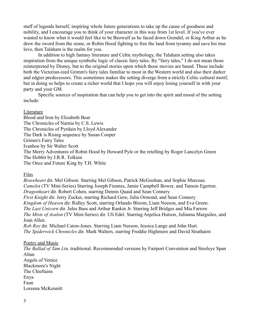stuff of legends herself, inspiring whole future generations to take up the cause of goodness and nobility, and I encourage you to think of your character in this way from 1st level. If you've ever wanted to know what it would feel like to be Beowulf as he faced down Grendel, or King Arthur as he drew the sword from the stone, or Robin Hood fighting to free the land from tyranny and save his true love, then Talaham is the realm for you.

In addition to high fantasy literature and Celtic mythology, the Talaham setting also takes inspiration from the unique symbolic logic of classic fairy tales. By "fairy tales," I do not mean those reinterpreted by Disney, but to the original stories upon which those movies are based. These include both the Victorian-ized Grimm's fairy tales familiar to most in the Western world and also their darker and edgier predecessors. This sometimes makes the setting diverge from a strictly Celtic cultural motif, but in doing so helps to create a richer world that I hope you will enjoy losing yourself in with your party and your GM.

Specific sources of inspiration that can help you to get into the spirit and mood of the setting include:

#### Literature

Blood and Iron by Elizabeth Bear The Chronicles of Narnia by C.S. Lewis The Chronicles of Pyrdain by Lloyd Alexander The Dark is Rising sequence by Susan Cooper Grimm's Fairy Tales Ivanhoe by Sir Walter Scott The Merry Adventures of Robin Hood by Howard Pyle or the retelling by Roger Lancelyn Green The Hobbit by J.R.R. Tolkien The Once and Future King by T.H. White

Film

*Braveheart* dir. Mel Gibson. Starring Mel Gibson, Patrick McGoohan, and Sophie Marceau *Camelot* (TV Mini-Series) Starring Joseph Fiennes, Jamie Campbell Bower, and Tamsin Egerton. *Dragonheart* dir. Robert Cohen, starring Dennis Quaid and Sean Connery *First Knight* dir. Jerry Zucker, starring Richard Gere, Julia Ormond, and Sean Connery *Kingdom of Heaven* dir. Ridley Scott, starring Orlando Bloom, Liam Neeson, and Eva Green. *The Last Unicorn* dir. Jules Bass and Arthur Rankin Jr. Starring Jeff Bridges and Mia Farrow *The Mists of Avalon* (TV Mini-Series) dir. Uli Edel. Starring Anjelica Hutson, Julianna Marguiles, and Joan Allen. *Rob Roy* dir. Michael Caton-Jones. Starring Liam Neeson, Jessica Lange and John Hurt.

*The Spiderwick Chronicles* dir. Mark Walters, starring Freddie Highmore and David Strathairn

#### Poetry and Music

*The Ballad of Tam Lin,* traditional. Recommended versions by Fairport Convention and Steeleye Span Altan Angels of Venice Blackmore's Night The Chieftains Enya Faun Loreena McKennitt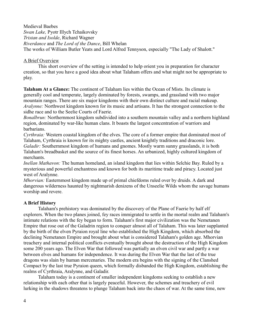Medieval Baebes *Swan Lake,* Pyotr Illych Tchaikovsky *Tristan and Isolde*, Richard Wagner *Riverdance* and *The Lord of the Dance*, Bill Whelan The works of William Butler Yeats and Lord Alfred Tennyson, especially "The Lady of Shalott."

#### A Brief Overview

This short overview of the setting is intended to help orient you in preparation for character creation, so that you have a good idea about what Talaham offers and what might not be appropriate to play.

**Talaham At a Glance:** The continent of Talaham lies within the Ocean of Mists. Its climate is generally cool and temperate, largely dominated by forests, swamps, and grassland with two major mountain ranges. There are six major kingdoms with their own distinct culture and racial makeup. *Aralynne:* Northwest kingdom known for its music and artisans. It has the strongest connection to the sidhe race and to the Seelie Courts of Faerie.

*Bonalbrun:* Northernmost kingdom subdivided into a southern mountain valley and a northern highland region, dominated by war-like human clans. It boasts the largest concentration of warriors and barbarians.

*Cyrthraia:* Western coastal kingdom of the elves. The core of a former empire that dominated most of Talaham, Cyrthraia is known for its mighty castles, ancient knightly traditions and draconic lore. *Galadir:* Southernmost kingdom of humans and gnomes. Mostly warm sunny grasslands, it is both Talaham's breadbasket and the source of its finest horses. An urbanized, highly cultured kingdom of merchants.

*Inellan Mathavon:* The human homeland, an island kingdom that lies within Selchie Bay. Ruled by a mysterious and powerful enchantress and known for both its maritime trade and piracy. Located just west of Aralynne.

*Mhorvian:* Easternmost kingdom made up of primal chiefdoms ruled over by druids. A dark and dangerous wilderness haunted by nightmarish denizens of the Unseelie Wilds whom the savage humans worship and revere.

## **A Brief History**

Talaham's prehistory was dominated by the discovery of the Plane of Faerie by half elf explorers. When the two planes joined, fey races immigrated to settle in the mortal realm and Talaham's intimate relations with the fey began to form. Talaham's first major civilization was the Nemetanen Empire that rose out of the Galadrin region to conquer almost all of Talaham. This was later supplanted by the birth of the elven Pyraion royal line who established the High Kingdom, which absorbed the declining Nemetanen Empire and brought about what is considered Talaham's golden age. Mhorvian treachery and internal political conflicts eventually brought about the destruction of the High Kingdom some 200 years ago. The Elven War that followed was partially an elven civil war and partly a war between elves and humans for independence. It was during the Elven War that the last of the true dragons was slain by human mercenaries. The modern era begins with the signing of the Clanshed Compact by the last true Pyraion queen, which formally disbanded the High Kingdom, establishing the realms of Cyrthraia, Aralynne, and Galadir.

Talaham today is a continent of smaller independent kingdoms seeking to establish a new relationship with each other that is largely peaceful. However, the schemes and treachery of evil lurking in the shadows threatens to plunge Talaham back into the chaos of war. At the same time, new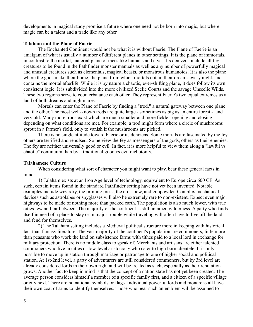developments in magical study promise a future where one need not be born into magic, but where magic can be a talent and a trade like any other.

#### **Talaham and the Plane of Faerie**

The Enchanted Continent would not be what it is without Faerie. The Plane of Faerie is an amalgam of what is usually a number of different planes in other settings. It is the plane of immortals, in contrast to the mortal, material plane of races like humans and elves. Its denizens include all fey creatures to be found in the Pathfinder monster manuals as well as any number of powerfully magical and unusual creatures such as elementals, magical beasts, or monstrous humanoids. It is also the plane where the gods make their home, the plane from which mortals obtain their dreams every night, and contains the mortal afterlife. While it is by nature a chaotic, ever-shifting plane, it does follow its own consistent logic. It is subdivided into the more civilized Seelie Courts and the savage Unseelie Wilds. These two regions serve to counterbalance each other. They represent Faerie's two equal extremes as a land of both dreams and nightmares.

Mortals can enter the Plane of Faerie by finding a "trod," a natural gateway between one plane and the other. The most well-known trods are quite large - sometimes as big as an entire forest - and very old. Many more trods exist which are much smaller and more fickle - opening and closing depending on what conditions are met. For example, a trod might form where a circle of mushrooms sprout in a farmer's field, only to vanish if the mushrooms are picked.

There is no single attitude toward Faerie or its denizens. Some mortals are fascinated by the fey, others are terrified and repulsed. Some view the fey as messengers of the gods, others as their enemies. The fey are neither universally good or evil. In fact, it is more helpful to view them along a "lawful vs chaotic" continuum than by a traditional good vs evil dichotomy.

#### **Talahamese Culture**

When considering what sort of character you might want to play, bear these general facts in mind:

1) Talaham exists at an Iron Age level of technology, equivalent to Europe circa 600 CE. As such, certain items found in the standard Pathfinder setting have not yet been invented. Notable examples include wizardry, the printing press, the crossbow, and gunpowder. Complex mechanical devices such as astrolabes or spyglasses will also be extremely rare to non-existent. Expect even major highways to be made of nothing more than packed earth. The population is also much lower, with true cities few and far between. The majority of the continent is still untamed wilderness. A party who finds itself in need of a place to stay or in major trouble while traveling will often have to live off the land and fend for themselves.

2) The Talaham setting includes a Medieval political structure more in keeping with historical fact than fantasy literature. The vast majority of the continent's population are commoners, little more than peasants who work the land on subsistence farms with tithes paid to a local lord in exchange for military protection. There is no middle class to speak of. Merchants and artisans are either talented commoners who live in cities or low-level aristocracy who cater to high born clientele. It is only possible to move up in station through marriage or patronage to one of higher social and political station. At 1st-2nd level, a party of adventurers are still considered commoners, but by 3rd level are already considered lords in their own right and will be treated as such, especially as their reputation grows. Another fact to keep in mind is that the concept of a nation state has not yet been created. The average person considers himself a member of a specific family first, and a citizen of a specific village or city next. There are no national symbols or flags. Individual powerful lords and monarchs all have their own coat of arms to identify themselves. Those who bear such an emblem will be assumed to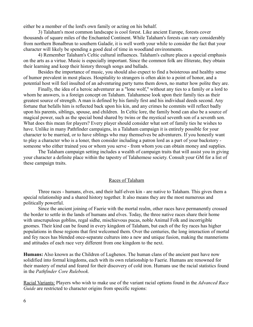either be a member of the lord's own family or acting on his behalf.

3) Talaham's most common landscape is cool forest. Like ancient Europe, forests cover thousands of square miles of the Enchanted Continent. While Talaham's forests can vary considerably from northern Bonalbrun to southern Galadir, it is well worth your while to consider the fact that your character will likely be spending a good deal of time in woodland environments.

4) Remember Talaham's Celtic cultural influences. Talaham's culture places a special emphasis on the arts as a virtue. Music is especially important. Since the common folk are illiterate, they obtain their learning and keep their history through songs and ballads.

Besides the importance of music, you should also expect to find a boisterous and healthy sense of humor prevalent in most places. Hospitality to strangers is often akin to a point of honor, and a potential host will feel insulted of an adventuring party turns them down, no matter how polite they are.

Finally, the idea of a heroic adventurer as a "lone wolf," without any ties to a family or a lord to whom he answers, is a foreign concept on Talaham. Talahamese look upon their family ties as their greatest source of strength. A man is defined by his family first and his individual deeds second. Any fortune that befalls him is reflected back upon his kin, and any crimes he commits will reflect badly upon his parents, siblings, spouse, and children. In Celtic lore, the family bond can also be a source of magical power, such as the special bond shared by twins or the mystical seventh son of a seventh son. What does this mean for players? Every player should consider what sort of family ties he wishes to have. Unlike in many Pathfinder campaigns, in a Talaham campaign it is entirely possible for your character to be married, or to have siblings who may themselves be adventurers. If you honestly want to play a character who is a loner, then consider including a patron lord as a part of your backstory someone who either trained you or whom you serve - from whom you can obtain money and supplies.

The Talaham campaign setting includes a wealth of campaign traits that will assist you in giving your character a definite place within the tapestry of Talahemese society. Consult your GM for a list of these campaign traits.

#### Races of Talaham

Three races - humans, elves, and their half-elven kin - are native to Talaham. This gives them a special relationship and a shared history together. It also means they are the most numerous and politically powerful.

Since the ancient joining of Faerie with the mortal realm, other races have permanently crossed the border to settle in the lands of humans and elves. Today, the three native races share their home with unscrupulous goblins, regal sidhe, mischievous pucas, noble Animal Folk and incorrigible gnomes. Their kind can be found in every kingdom of Talaham, but each of the fey races has higher populations in those regions that first welcomed them. Over the centuries, the long interaction of mortal and fey races has blended once-separate cultures into a new and unique fusion, making the mannerisms and attitudes of each race very different from one kingdom to the next.

**Humans:** Also known as the Children of Lughenos. The human clans of the ancient past have now solidified into formal kingdoms, each with its own relationship to Faerie. Humans are renowned for their mastery of metal and feared for their discovery of cold iron. Humans use the racial statistics found in the *Pathfinder Core Rulebook*.

Racial Variants: Players who wish to make use of the variant racial options found in the *Advanced Race Guide* are restricted to character origins from specific regions: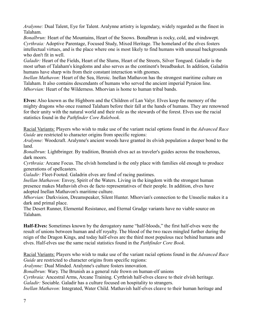*Aralynne:* Dual Talent, Eye for Talent. Aralynne artistry is legendary, widely regarded as the finest in Talaham.

*Bonalbrun:* Heart of the Mountains, Heart of the Snows. Bonalbrun is rocky, cold, and windswept. *Cyrthraia:* Adoptive Parentage, Focused Study, Mixed Heritage. The homeland of the elves fosters intellectual virtues, and is the place where one is most likely to find humans with unusual backgrounds who don't fit in well.

*Galadir:* Heart of the Fields, Heart of the Slums, Heart of the Streets, Silver Tongued. Galadir is the most urban of Talaham's kingdoms and also serves as the continent's breadbasket. In addition, Galadrin humans have sharp wits from their constant interaction with gnomes.

*Inellan Mathavon:* Heart of the Sea, Heroic. Inellan Mathavon has the strongest maritime culture on Talaham. It also contains descendants of humans who served the ancient imperial Pyraion line. *Mhorvian:* Heart of the Wilderness. Mhorvian is home to human tribal bands.

**Elves:** Also known as the Highborn and the Children of Lan Valyr. Elves keep the memory of the mighty dragons who once roamed Talaham before their fall at the hands of humans. They are renowned for their unity with the natural world and their role as the stewards of the forest. Elves use the racial statistics found in the *Pathfinder Core Rulebook*.

Racial Variants: Players who wish to make use of the variant racial options found in the *Advanced Race Guide* are restricted to character origins from specific regions:

*Aralynne:* Woodcraft. Aralynne's ancient woods have granted its elvish population a deeper bond to the land.

*Bonalbrun:* Lightbringer. By tradition, Brunish elves act as traveler's guides across the treacherous, dark moors.

*Cyrthraia:* Arcane Focus. The elvish homeland is the only place with families old enough to produce generations of spellcasters.

*Galadir:* Fleet-Footed. Galadrin elves are fond of racing pastimes.

*Inellan Mathavon:* Envoy, Spirit of the Waters. Living in the kingdom with the strongest human presence makes Mathavish elves de facto representatives of their people. In addition, elves have adopted Inellan Mathavon's maritime culture.

*Mhorvian:* Darkvision, Dreamspeaker, Silent Hunter. Mhorvian's connection to the Unseelie makes it a dark and primal place.

The Desert Runner, Elemental Resistance, and Eternal Grudge variants have no viable source on Talaham.

**Half-Elves:** Sometimes known by the derogatory name "half-bloods," the first half-elves were the result of unions between human and elf royalty. The blood of the two races mingled further during the reign of the Dragon Kings, and today half-elves are the third most populous race behind humans and elves. Half-elves use the same racial statistics found in the *Pathfinder Core Book*.

Racial Variants: Players who wish to make use of the variant racial options found in the *Advanced Race Guide* are restricted to character origins from specific regions:

*Aralynne:* Dual Minded. Aralynne's culture fosters innovation.

*Bonalbrun:* Wary. The Brunish as a general rule frown on human-elf unions

*Cyrthraia:* Ancestral Arms, Arcane Training. Cyrthrish half-elves cleave to their elvish heritage.

*Galadir:* Sociable. Galadir has a culture focused on hospitality to strangers.

*Inellan Mathavon:* Integrated, Water Child. Mathavish half-elves cleave to their human heritage and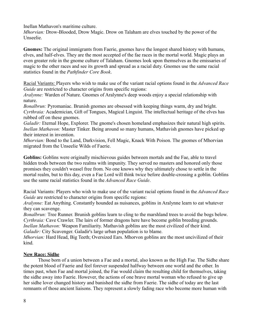Inellan Mathavon's maritime culture.

*Mhorvian:* Drow-Blooded, Drow Magic. Drow on Talaham are elves touched by the power of the Unseelie.

**Gnomes:** The original immigrants from Faerie, gnomes have the longest shared history with humans, elves, and half-elves. They are the most accepted of the fae races in the mortal world. Magic plays an even greater role in the gnome culture of Talaham. Gnomes look upon themselves as the emissaries of magic to the other races and see its growth and spread as a racial duty. Gnomes use the same racial statistics found in the *Pathfinder Core Book*.

Racial Variants: Players who wish to make use of the variant racial options found in the *Advanced Race Guide* are restricted to character origins from specific regions:

*Aralynne:* Warden of Nature. Gnomes of Aralynne's deep woods enjoy a special relationship with nature.

*Bonalbrun:* Pyromaniac. Brunish gnomes are obsessed with keeping things warm, dry and bright. *Cyrthraia:* Academician, Gift of Tongues, Magical Linguist. The intellectual heritage of the elves has rubbed off on these gnomes.

*Galadir:* Eternal Hope, Explorer. The gnome's chosen homeland emphasizes their natural high spirits. *Inellan Mathavon:* Master Tinker. Being around so many humans, Mathavish gnomes have picked up their interest in invention.

*Mhorvian:* Bond to the Land, Darkvision, Fell Magic, Knack With Poison. The gnomes of Mhorvian migrated from the Unseelie Wilds of Faerie.

**Goblins:** Goblins were originally mischievous guides between mortals and the Fae, able to travel hidden trods between the two realms with impunity. They served no masters and honored only those promises they couldn't weasel free from. No one knows why they ultimately chose to settle in the mortal realm, but to this day, even a Fae Lord will think twice before double-crossing a goblin. Goblins use the same racial statistics found in the *Advanced Race Guide*.

Racial Variants: Players who wish to make use of the variant racial options found in the *Advanced Race Guide* are restricted to character origins from specific regions:

*Aralynne:* Eat Anything. Constantly hounded as nuisances, goblins in Aralynne learn to eat whatever they can scavenge.

*Bonalbrun:* Tree Runner. Brunish goblins learn to cling to the marshland trees to avoid the bogs below. *Cyrthraia:* Cave Crawler. The lairs of former dragons here have become goblin breeding grounds. *Inellan Mathavon:* Weapon Familiarity. Mathavish goblins are the most civilized of their kind. *Galadir:* City Scavenger. Galadir's large urban population is to blame.

*Mhorvian:* Hard Head, Big Teeth; Oversized Ears. Mhorvon goblins are the most uncivilized of their kind.

# **New Race: Sidhe**

Those born of a union between a Fae and a mortal, also known as the High Fae. The Sidhe share the potent blood of Faerie and feel forever suspended halfway between one world and the other. In times past, when Fae and mortal joined, the Fae would claim the resulting child for themselves, taking the sidhe away into Faerie. However, the actions of one brave mortal woman who refused to give up her sidhe lover changed history and banished the sidhe from Faerie. The sidhe of today are the last remnants of those ancient liaisons. They represent a slowly fading race who become more human with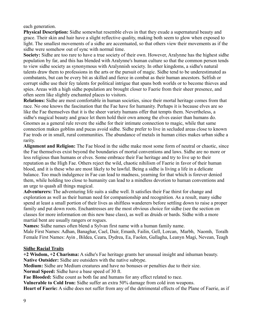each generation.

**Physical Description:** Sidhe somewhat resemble elves in that they exude a supernatural beauty and grace. Their skin and hair have a slight reflective quality, making both seem to glow when exposed to light. The smallest movements of a sidhe are accentuated, so that others view their movements as if the sidhe were somehow out of sync with normal time.

**Society:** Sidhe are too rare to have a true society of their own. However, Aralynne has the highest sidhe population by far, and this has blended with Aralynne's human culture so that the common person tends to view sidhe society as synonymous with Aralynnish society. In other kingdoms, a sidhe's natural talents draw them to professions in the arts or the pursuit of magic. Sidhe tend to be underestimated as combatants, but can be every bit as skilled and fierce in combat as their human ancestors. Selfish or corrupt sidhe use their fey talents for political intrigue that spans both worlds or to become thieves and spies. Areas with a high sidhe population are brought closer to Faerie from their sheer presence, and often seem like slightly enchanted places to visitors.

**Relations:** Sidhe are most comfortable in human societies, since their mortal heritage comes from that race. No one knows the fascination that the Fae have for humanity. Perhaps it is because elves are so like the Fae themselves that it is the sheer variety humans offer that tempts them. Nevertheless, a sidhe's magical beauty and grace let them hold their own among the elves easier than humans do. Gnomes as a general rule revere the sidhe for their intimate connection to magic, while that same connection makes goblins and pucas avoid sidhe. Sidhe prefer to live in secluded areas close to known Fae trods or in small, rural communities. The abundance of metals in human cities makes urban sidhe a rarity.

**Alignment and Religion:** The Fae blood in the sidhe make most some form of neutral or chaotic, since the Fae themselves exist beyond the boundaries of mortal conventions and laws. Sidhe are no more or less religious than humans or elves. Some embrace their Fae heritage and try to live up to their reputation as the High Fae. Others reject the wild, chaotic nihilism of Faerie in favor of their human blood, and it is these who are most likely to be lawful. Being a sidhe is living a life in a delicate balance. Too much indulgence in Fae can lead to madness, yearning for that which is forever denied them, while holding too close to humanity can lead to a mindless devotion to human conventions and an urge to quash all things magical.

**Adventurers:** The adventuring life suits a sidhe well. It satisfies their Fae thirst for change and exploration as well as their human need for companionship and recognition. As a result, many sidhe spend at least a small portion of their lives as shiftless wanderers before settling down to raise a proper family and put down roots. Enchantresses are the most obvious choice for sidhe (see the section on classes for more information on this new base class), as well as druids or bards. Sidhe with a more martial bent are usually rangers or rogues.

**Names:** Sidhe names often blend a Sylvan first name with a human family name.

Male First Names: Adhan, Banaghar, Cael, Dair, Emanh, Failin, Gell, Lorcan, Marbh, Naomh, Toralh Female First Names: Ayin , Bildea, Ceara, Dydrea, Ea, Faolen, Gallagha, Leanyn Magi, Nevean, Teagh

## **Sidhe Racial Traits**

**+2 Wisdom, +2 Charisma:** A sidhe's Fae heritage grants her unusual insight and inhuman beauty. **Native Outsider:** Sidhe are outsiders with the native subtype.

**Medium:** Sidhe are Medium creatures and have no bonuses or penalties due to their size.

**Normal Speed:** Sidhe have a base speed of 30 ft.

**Fae Blooded:** Sidhe count as both fae and humans for any effect related to race.

**Vulnerable to Cold Iron:** Sidhe suffer an extra 50% damage from cold iron weapons.

**Heart of Faerie:** A sidhe does not suffer from any of the detrimental effects of the Plane of Faerie, as if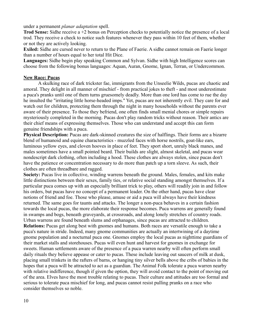under a permanent *planar adaptation* spell.

**Trod Sense:** Sidhe receive a +2 bonus on Perception checks to potentially notice the presence of a local trod. They receive a check to notice such features whenever they pass within 10 feet of them, whether or not they are actively looking.

**Exiled:** Sidhe are cursed never to return to the Plane of Faerie. A sidhe cannot remain on Faerie longer than a number of hours equal to her total Hit Dice.

**Languages:** Sidhe begin play speaking Common and Sylvan. Sidhe with high Intelligence scores can choose from the following bonus languages: Aquan, Auran, Gnome, Ignan, Terran, or Undercommon.

#### **New Race: Pucas**

A skulking race of dark trickster fae, immigrants from the Unseelie Wilds, pucas are chaotic and amoral. They delight in all manner of mischief - from practical jokes to theft - and most underestimate a puca's pranks until one of them turns gruesomely deadly. More than one lord has come to rue the day he insulted the "irritating little horse-headed imps." Yet, pucas are not inherently evil. They care for and watch out for children, protecting them through the night in many households without the parents ever aware of their presence. To those they befriend, one often finds small menial chores or simple repairs mysteriously completed in the morning. Pucas don't play random tricks without reason. Their antics are their chief means of expressing themselves. Those who can understand and accept this can form genuine friendships with a puca.

**Physical Description:** Pucas are dark-skinned creatures the size of halflings. Their forms are a bizarre blend of humanoid and equine characteristics - muzzled faces with horse nostrils, goat-like ears, luminous yellow eyes, and cloven hooves in place of feet. They sport short, unruly black manes, and males sometimes have a small pointed beard. Their builds are slight, almost skeletal, and pucas wear nondescript dark clothing, often including a hood. These clothes are always stolen, since pucas don't have the patience or concentration necessary to do more than patch up a torn sleeve. As such, their clothes are often threadbare and ragged.

**Society:** Pucas live in collective, winding warrens beneath the ground. Males, females, and kits make little distinctions between their sexes, family ties, or relative social standing amongst themselves. If a particular puca comes up with an especially brilliant trick to play, others will readily join in and follow his orders, but pucas have no concept of a permanent leader. On the other hand, pucas have clear notions of friend and foe. Those who please, amuse or aid a puca will always have their kindness returned. The same goes for taunts and attacks. The longer a non-puca behaves in a certain fashion towards the local pucas, the more elaborate their response becomes. Puca warrens are generally found in swamps and bogs, beneath graveyards, at crossroads, and along lonely stretches of country roads. Urban warrens are found beneath slums and orphanages, since pucas are attracted to children. **Relations:** Pucas get along best with gnomes and humans. Both races are versatile enough to take a puca's nature in stride. Indeed, many gnome communities are actually an intertwining of a daytime gnome population and a nocturnal puca one. Gnomes employ the local pucas as nighttime guardians of their market stalls and storehouses. Pucas will even hunt and harvest for gnomes in exchange for sweets. Human settlements aware of the presence of a puca warren nearby will often perform small daily rituals they believe appease or cater to pucas. These include leaving out saucers of milk at dusk, placing small trinkets in the rafters of barns, or hanging tiny silver bells above the cribs of babies in the hopes that a puca will be attracted to act as a guardian. The Animal Folk tolerate a puca warren nearby with relative indifference, though if given the option, they will avoid contact to the point of moving out of the area. Elves have the most trouble relating to pucas. Their culture and attitudes are too formal and serious to tolerate puca mischief for long, and pucas cannot resist pulling pranks on a race who consider themselves so noble.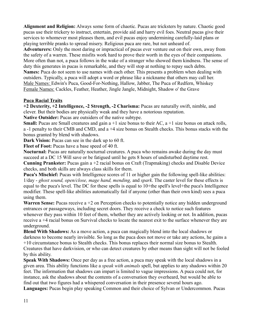**Alignment and Religion:** Always some form of chaotic. Pucas are tricksters by nature. Chaotic good pucas use their trickery to instruct, entertain, provide aid and harry evil foes. Neutral pucas give their services to whomever most pleases them, and evil pucas enjoy undermining carefully-laid plans or playing terrible pranks to spread misery. Religious puca are rare, but not unheard of.

**Adventurers:** Only the most daring or impractical of pucas ever venture out on their own, away from the safety of a warren. These misfits work hard to prove their worth in the eyes of their companions. More often than not, a puca follows in the wake of a stranger who showed them kindness. The sense of duty this generates in pucas is remarkable, and they will stop at nothing to repay such debts. **Names:** Puca do not seem to use names with each other. This presents a problem when dealing with outsiders. Typically, a puca will adopt a word or phrase like a nickname that others may call her. Male Names: Edwin's Puca, Good-For-Nothing, Hallow, Jabber, The Puca of Redfern, Whiskey Female Names: Cackles, Feather, Heather, Jingle Jangle, Midnight, Shadow o' the Grave

## **Puca Racial Traits**

**+2 Dexterity, +2 Intelligence, -2 Strength, -2 Charisma:** Pucas are naturally swift, nimble, and clever. But their bodies are physically weak and they have a notorious reputation.

**Native Outsider:** Pucas are outsiders of the native subtype.

**Small:** Pucas are Small creatures and gain a +1 size bonus to their AC, a +1 size bonus on attack rolls, a -1 penalty to their CMB and CMD, and a +4 size bonus on Stealth checks. This bonus stacks with the bonus granted by blend with shadows.

**Dark Vision:** Pucas can see in the dark up to 60 ft.

**Fleet of Foot:** Pucas have a base speed of 40 ft.

**Nocturnal:** Pucas are naturally nocturnal creatures. A puca who remains awake during the day must succeed at a DC 15 Will save or be fatigued until he gets 8 hours of undisturbed daytime rest.

**Cunning Prankster:** Pucas gain a +2 racial bonus on Craft (Trapmaking) checks and Disable Device checks, and both skills are always class skills for them.

**Puca's Mischief:** Pucas with Intelligence scores of 11 or higher gain the following spell-like abilities: 1/day - *ghost sound, open/close, mage hand, mending,* and *spark*. The caster level for these effects is equal to the puca's level. The DC for these spells is equal to 10+the spell's level+the puca's Intelligence modifier. These spell-like abilities automatically fail if anyone (other than their own kind) sees a puca using them.

**Warren Sense:** Pucas receive a +2 on Perception checks to potentially notice any hidden underground entrances or passageways, including secret doors. They receive a check to notice such features whenever they pass within 10 feet of them, whether they are actively looking or not. In addition, pucas receive a +4 racial bonus on Survival checks to locate the nearest exit to the surface whenever they are underground.

**Blend With Shadows:** As a move action, a puca can magically blend into the local shadows or darkness to become nearly invisible. So long as the puca does not move or take any actions, he gains a +10 circumstance bonus to Stealth checks. This bonus replaces their normal size bonus to Stealth. Creatures that have darkvision, or who can detect creatures by other means than sight will not be fooled by this ability.

**Speak With Shadows:** Once per day as a free action, a puca may speak with the local shadows in a given area. This ability functions like a *speak with animals* spell, but applies to any shadows within 20 feet. The information that shadows can impart is limited to vague impressions. A puca could not, for instance, ask the shadows about the contents of a conversation they overheard, but would be able to find out that two figures had a whispered conversation in their presence several hours ago. **Languages:** Pucas begin play speaking Common and their choice of Sylvan or Undercommon. Pucas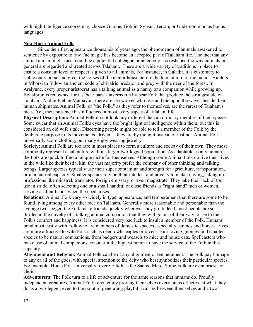with high Intelligence scores may choose Gnome, Goblin, Sylvan, Terran, or Undercommon as bonus languages.

# **New Race: Animal Folk**

Since their first appearance thousands of years ago, the phenomenon of animals awakened to sentience by exposure to raw Fae magic has become an accepted part of Talaham life. The fact that any animal a man might meet could be a potential colleague or an enemy has reshaped the way animals in general are regarded and treated across Talaham. There are a wide variety of traditions in place to ensure a constant level of respect is given to all animals. For instance, in Galadir, it is customary to stable one's horse and greet the horses of the manor house before the human lord of the manor. Hunters in Mhorvian follow an ancient code of chivalric predator and prey with the deer of the forest. In Aralynne, every proper aristocrat has a talking animal as a nanny or a companion while growing up. Bonalbrun is renowned for it's 'bear bars' - taverns run by bear Folk that produce the strongest ale on Talaham. And in Inellan Mathavon, there are sea wolves who live and die upon the waves beside their human shipmates. Animal Folk, or "the Folk," as they refer to themselves, are the rarest of Talaham's races. Yet, their presence has influenced almost every aspect of Talaham life.

**Physical Description:** Animal Folk do not look any different than an ordinary member of their species. Some swear that an Animal Folk's eyes have the bright light of intelligence within them, but this is considered an old wife's tale. Discerning people might be able to tell a member of the Folk by the deliberate purpose to its movements, driven as they are by thought instead of instinct. Animal Folk universally scorn clothing, but many enjoy wearing jewelry.

**Society:** Animal Folk are too rare in most places to form a culture and society of their own. They most commonly represent a subculture within a larger two-legged population. As adaptable as any human, the Folk are quick to find a unique niche for themselves. Although some Animal Folk do live their lives in the wild like their bestial kin, the vast majority prefer the company of other thinking and talking beings. Larger species typically use their superior stamina and strength for agriculture, transportation, or in a martial capacity. Smaller species rely on their intellect and novelty to make a living, taking up professions like minstrel, translator, foreign emissary, or even magistrate. They take their lack of tool use in stride, often selecting one or a small handful of close friends as "right hand" men or women, serving as their hands when the need arises.

**Relations:** Animal Folk vary so widely in type, appearance, and temperament that there are some to be found living among every other race on Talaham. Generally more reasonable and personable than the average two-legger, the Folk make friends quickly wherever they go. Indeed, most people are so thrilled at the novelty of a talking animal companion that they will go out of their way to see to the Folk's comfort and happiness. It is considered very bad luck to insult a member of the Folk. Humans bond most easily with Folk who are members of domestic species, especially canines and horses. Elves are more attractive to wild Folk such as deer, owls, eagles or ravens. Fun-loving gnomes find smaller species to be natural companions, from badgers and weasels to mice and house cats. Spellcasters who make use of animal companions consider it the highest honor to have the service of the Folk in this capacity.

**Alignment and Religion:** Animal Folk can be of any alignment or temperament. The Folk pay homage to any or all of the gods, with special attention to the deity who best symbolizes their particular species. For example, Horse Folk universally revere Eilidh as the Sacred Mare. Some Folk are even priests or clerics.

**Adventurers:** The Folk turn to a life of adventure for the same reasons that humans do. Proudly independent creatures, Animal Folk often enjoy proving themselves every bit as effective at what they do as a two-legger, even to the point of generating playful rivalries between themselves and a two-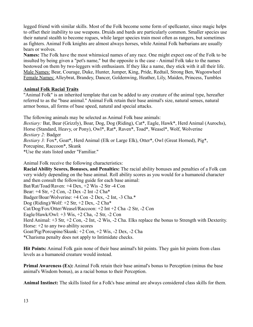legged friend with similar skills. Most of the Folk become some form of spellcaster, since magic helps to offset their inability to use weapons. Druids and bards are particularly common. Smaller species use their natural stealth to become rogues, while larger species train most often as rangers, but sometimes as fighters. Animal Folk knights are almost always horses, while Animal Folk barbarians are usually bears or wolves.

**Names:** The Folk have the most whimsical names of any race. One might expect one of the Folk to be insulted by being given a "pet's name," but the opposite is the case - Animal Folk take to the names bestowed on them by two-leggers with enthusiasm. If they like a name, they stick with it all their life. Male Names: Bear, Courage, Duke, Hunter, Jumper, King, Pride, Redtail, Strong Ben, Wagonwheel Female Names: Alleybrat, Brandey, Dancer, Goldenwing, Heather, Lily, Maiden, Princess, Tumbles

#### **Animal Folk Racial Traits**

"Animal Folk" is an inherited template that can be added to any creature of the animal type, hereafter referred to as the "base animal." Animal Folk retain their base animal's size, natural senses, natural armor bonus, all forms of base speed, natural and special attacks.

The following animals may be selected as Animal Folk base animals:

*Bestiary:* Bat, Bear (Grizzly), Boar, Dog, Dog (Riding), Cat\*, Eagle, Hawk\*, Herd Animal (Aurochs), Horse (Standard, Heavy, or Pony), Owl\*, Rat\*, Raven\*, Toad\*, Weasel\*, Wolf, Wolverine *Bestiary 2:* Badger *Bestiary 3:* Fox\*, Goat\*, Herd Animal (Elk or Large Elk), Otter\*, Owl (Great Horned), Pig\*, Porcupine, Raccoon\*, Skunk

\*Use the stats listed under "Familiar."

Animal Folk receive the following characteristics:

**Racial Ability Scores, Bonuses, and Penalties:** The racial ability bonuses and penalties of a Folk can very widely depending on the base animal. Roll ability scores as you would for a humanoid character and then consult the following guide for each base animal: Bat/Rat/Toad/Raven: +4 Dex, +2 Wis -2 Str -4 Con Bear: +4 Str, +2 Con, -2 Dex -2 Int -2 Cha\* Badger/Boar/Wolverine: +4 Con -2 Dex, -2 Int, -3 Cha.\* Dog (Riding)/Wolf:  $+2$  Str,  $+2$  Dex,  $-2$  Cha $*$ Cat/Dog/Fox/Otter/Weasel/Raccoon: +2 Int +2 Cha -2 Str, -2 Con Eagle/Hawk/Owl: +3 Wis, +2 Cha, -2 Str, -2 Con Herd Animal: +3 Str, +2 Con, -2 Int, -2 Wis, -2 Cha. Elks replace the bonus to Strength with Dexterity. Horse: +2 to any two ability scores Goat/Pig/Porcupine/Skunk: +2 Con, +2 Wis, -2 Dex, -2 Cha \*Charisma penalty does not apply to Intimidate checks.

**Hit Points:** Animal Folk gain none of their base animal's hit points. They gain hit points from class levels as a humanoid creature would instead.

**Primal Awareness (Ex):** Animal Folk retain their base animal's bonus to Perception (minus the base animal's Wisdom bonus), as a racial bonus to their Perception.

**Animal Instinct:** The skills listed for a Folk's base animal are always considered class skills for them.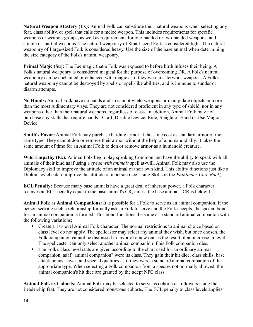**Natural Weapon Mastery (Ex):** Animal Folk can substitute their natural weapons when selecting any feat, class ability, or spell that calls for a melee weapon. This includes requirements for specific weapons or weapon groups, as well as requirements for one-handed or two-handed weapons, and simple or martial weapons. The natural weaponry of Small-sized Folk is considered light. The natural weaponry of Large-sized Folk is considered heavy. Use the size of the base animal when determining the size category of the Folk's natural weaponry.

**Primal Magic (Su):** The Fae magic that a Folk was exposed to before birth infuses their being. A Folk's natural weaponry is considered magical for the purpose of overcoming DR. A Folk's natural weaponry can be enchanted or enhanced with magic as if they were masterwork weapons. A Folk's natural weaponry cannot be destroyed by spells or spell-like abilities, and is immune to sunder or disarm attempts.

**No Hands:** Animal Folk have no hands and so cannot wield weapons or manipulate objects in more than the most rudimentary ways. They are not considered proficient in any type of shield, nor in any weapons other than their natural weapons, regardless of class. In addition, Animal Folk may not purchase any skills that require hands - Craft, Disable Device, Ride, Sleight of Hand or Use Magic Device.

**Smith's Favor:** Animal Folk may purchase barding armor at the same cost as standard armor of the same type. They cannot don or remove their armor without the help of a humanoid ally. It takes the same amount of time for an Animal Folk to don or remove armor as a humanoid creature.

**Wild Empathy (Ex):** Animal Folk begin play speaking Common and have the ability to speak with all animals of their kind as if using a *speak with animals* spell at-will. Animal Folk may also use the Diplomacy skill to improve the attitude of an animal of their own kind. This ability functions just like a Diplomacy check to improve the attitude of a person (see Using Skills in the *Pathfinder Core Book*).

**ECL Penalty:** Because many base animals have a great deal of inherent power, a Folk character receives an ECL penalty equal to the base animal's CR, unless the base animal's CR is below 1.

**Animal Folk as Animal Companions:** It is possible for a Folk to serve as an animal companion. If the person seeking such a relationship formally asks a Folk to serve and the Folk accepts, the special bond for an animal companion is formed. This bond functions the same as a standard animal companion with the following variations:

- Create a 1st-level Animal Folk character. The normal restrictions to animal choice based on class level do not apply. The spellcaster may select any animal they wish, but once chosen, the Folk companion cannot be dismissed in favor of a new one as the result of an increase in level. The spellcaster can only select another animal companion if his Folk companion dies.
- The Folk's class level stats are given according to the chart used for an ordinary animal companion, as if "animal companion" were its class. They gain their hit dice, class skills, base attack bonus, saves, and special qualities as if they were a standard animal companion of the appropriate type. When selecting a Folk companion from a species not normally allowed, the animal companion's hit dice are granted by the adept NPC class.

**Animal Folk as Cohorts:** Animal Folk may be selected to serve as cohorts or followers using the Leadership feat. They are not considered monstrous cohorts. The ECL penalty to class levels applies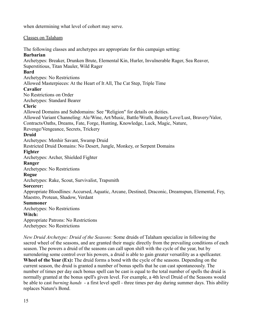when determining what level of cohort may serve.

#### Classes on Talaham

The following classes and archetypes are appropriate for this campaign setting:

#### **Barbarian**

Archetypes: Breaker, Drunken Brute, Elemental Kin, Hurler, Invulnerable Rager, Sea Reaver, Superstitious, Titan Mauler, Wild Rager

#### **Bard**

Archetypes: No Restrictions

Allowed Masterpieces: At the Heart of It All, The Cat Step, Triple Time

#### **Cavalier**

No Restrictions on Order

Archetypes: Standard Bearer

## **Cleric**

Allowed Domains and Subdomains: See "Religion" for details on deities.

Allowed Variant Channeling: Ale/Wine, Art/Music, Battle/Wrath, Beauty/Love/Lust, Bravery/Valor,

Contracts/Oaths, Dreams, Fate, Forge, Hunting, Knowledge, Luck, Magic, Nature,

Revenge/Vengeance, Secrets, Trickery

# **Druid**

Archetypes: Menhir Savant, Swamp Druid

Restricted Druid Domains: No Desert, Jungle, Monkey, or Serpent Domains

## **Fighter**

Archetypes: Archer, Shielded Fighter

## **Ranger**

Archetypes: No Restrictions

## **Rogue**

Archetypes: Rake, Scout, Survivalist, Trapsmith

## **Sorcerer:**

Appropriate Bloodlines: Accursed, Aquatic, Arcane, Destined, Draconic, Dreamspun, Elemental, Fey, Maestro, Protean, Shadow, Verdant

## **Summoner**

Archetypes: No Restrictions

#### **Witch:**

Appropriate Patrons: No Restrictions

Archetypes: No Restrictions

*New Druid Archetype: Druid of the Seasons:* Some druids of Talaham specialize in following the sacred wheel of the seasons, and are granted their magic directly from the prevailing conditions of each season. The powers a druid of the seasons can call upon shift with the cycle of the year, but by surrendering some control over his powers, a druid is able to gain greater versatility as a spellcaster. **Wheel of the Year (Ex):** The druid forms a bond with the cycle of the seasons. Depending on the current season, the druid is granted a number of bonus spells that he can cast spontaneously. The number of times per day each bonus spell can be cast is equal to the total number of spells the druid is normally granted at the bonus spell's given level. For example, a 4th level Druid of the Seasons would be able to cast *burning hands* - a first level spell - three times per day during summer days. This ability replaces Nature's Bond.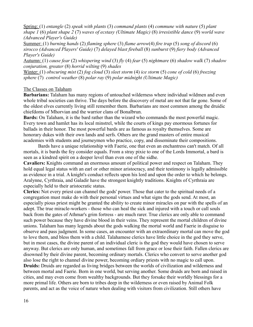Spring: (1) *entangle* (2) *speak with plants* (3) *command plants* (4) *commune with nature* (5) *plant shape 1* (6) *plant shape 2* (7) *waves of ecstasy (Ultimate Magic)* (8) *irresistible dance* (9) *world wave (Advanced Player's Guide)*

 Summer: (1) *burning hands* (2) *flaming sphere* (3) *flame arrow*(4) *fire trap* (5) *song of discord* (6) *sirocco (Advanced Players' Guide)* (7) *delayed blast fireball* (8) *sunburst* (9) *fiery body (Advanced Player's Guide)*

Autumn: (1) *cause fear* (2) *whispering wind* (3) *fly* (4) *fear* (5) *nightmare* (6) *shadow walk* (7) *shadow conjuration, greater* (8) *horrid wilting* (9) *shades*

Winter: (1) *obscuring mist* (2) *fog cloud* (3) *sleet storm* (4) *ice storm* (5) *cone of cold* (6) *freezing sphere* (7) *control weather* (8) *polar ray* (9) *polar midnight (Ultimate Magic)*

#### The Classes on Talaham

**Barbarians:** Talaham has many regions of untouched wilderness where individual wildmen and even whole tribal societies can thrive. The days before the discovery of metal are not that far gone. Some of the oldest elves currently living still remember them. Barbarians are most common among the druidic chiefdoms of Mhorvian and the warrior clans of Bonalbrun.

**Bards:** On Talaham, it is the bard rather than the wizard who commands the most powerful magic. Every town and hamlet has its local minstrel, while the courts of kings pay enormous fortunes for ballads in their honor. The most powerful bards are as famous as royalty themselves. Some are honorary dukes with their own lands and serfs. Others are the grand masters of entire musical academies with students and journeymen who practice, copy, and disseminate their compositions.

Bards have a unique relationship with Faerie, one that even an enchantress can't match. Of all mortals, it is bards the fey consider equals. From a stray pixie to one of the Lords Immortal, a bard is seen as a kindred spirit on a deeper level than even one of the sidhe.

**Cavaliers:** Knights command an enormous amount of political power and respect on Talaham. They hold equal legal status with an earl or other minor aristocracy, and their testimony is legally admissible as evidence in a trial. A knight's conduct reflects upon his lord and upon the order to which he belongs. Aralynne, Cyrthraia, and Galadir have the strongest knightly traditions. Knights of Cyrthraia are especially held to their aristocratic status.

**Clerics:** Not every priest can channel the gods' power. Those that cater to the spiritual needs of a congregation must make do with their personal virtues and what signs the gods send. At most, an especially pious priest might be granted the ability to create minor miracles on par with the spells of an adept. The true miracle-workers - those who can heal the sick and injured with a touch or call souls back from the gates of Athmar's grim fortress - are much rarer. True clerics are only able to command such power because they have divine blood in their veins. They represent the mortal children of divine unions. Talaham has many legends about the gods walking the mortal world and Faerie in disguise to observe and pass judgment. In some cases, an encounter with an extraordinary mortal can move the god to love them, and bless them with a child. Talahamese clerics have little choice in the god they serve, but in most cases, the divine parent of an individual cleric is the god they would have chosen to serve anyway. But clerics are only human, and sometimes fall from grace or lose their faith. Fallen clerics are disowned by their divine parent, becoming ordinary mortals. Clerics who convert to serve another god also lose the right to channel divine power, becoming ordiary priests with no magic to call upon. **Druids:** Druids are regarded as living bridges between the worlds of civilization and wilderness and between mortal and Faerie. Born in one world, but serving another. Some druids are born and raised in cities, and may even come from wealthy backgrounds. But they forsake their worldly blessings for a more primal life. Others are born to tribes deep in the wilderness or even raised by Animal Folk parents, and act as the voice of nature when dealing with visitors from civilization. Still others have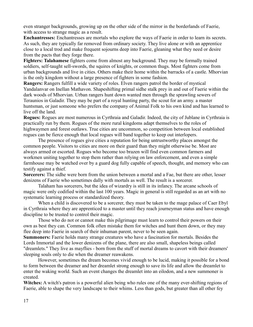even stranger backgrounds, growing up on the other side of the mirror in the borderlands of Faerie, with access to strange magic as a result.

**Enchantresses:** Enchantresses are mortals who explore the ways of Faerie in order to learn its secrets. As such, they are typically far removed from ordinary society. They live alone or with an apprentice close to a local trod and make frequent sojourns deep into Faerie, gleaning what they need or desire from the pacts that they forge there.

**Fighters: Talahamese** fighters come from almost any background. They may be formally trained soldiers, self-taught sell-swords, the squires of knights, or common thugs. Most fighters come from urban backgrounds and live in cities. Others make their home within the barracks of a castle. Mhorvian is the only kingdom without a large presence of fighters in some fashion.

**Rangers:** Rangers fulfill a wide variety of roles. Elven rangers patrol the border of mystical Yandalanvar on Inellan Mathavon. Shapeshifting primal sidhe stalk prey in and out of Faerie within the dark woods of Mhorvian. Urban rangers hunt down wanted men through the sprawling sewers of Teraunios in Galadir. They may be part of a royal hunting party, the scout for an army. a master huntsman, or just someone who prefers the company of Animal Folk to his own kind and has learned to live off the land.

**Rogues:** Rogues are most numerous in Cyrthraia and Galadir. Indeed, the city of Jublane in Cyrthraia is practically run by them. Rogues of the more rural kingdoms adapt themselves to the roles of highwaymen and forest outlaws. True cities are uncommon, so competition between local established rogues can be fierce enough that local rogues will band together to keep out interlopers.

The presence of rogues give cities a reputation for being untrustworthy places amongst the common people. Visitors to cities are more on their guard than they might otherwise be. Most are always armed or escorted. Rogues who become too brazen will find even common farmers and workmen uniting together to stop them rather than relying on law enforcement, and even a simple farmhouse may be watched over by a guard dog fully capable of speech, thought, and memory who can testify against a thief.

**Sorcerers:** The sidhe were born from the union between a mortal and a Fae, but there are other, lesser denizens of Faerie who sometimes dally with mortals as well. The result is a sorcerer.

Talaham has sorcerers, but the idea of wizardry is still in its infancy. The arcane schools of magic were only codified within the last 100 years. Magic in general is still regarded as an art with no systematic learning process or standardized theory.

When a child is discovered to be a sorcerer, they must be taken to the mage palace of Caer Ebyl in Cyrthraia where they are apprenticed to a master until they reach journeyman status and have enough discipline to be trusted to control their magic.

Those who do not or cannot make this pilgrimage must learn to control their powers on their own as best they can. Common folk often mistake them for witches and hunt them down, or they may flee deep into Faerie in search of their inhuman parent, never to be seen again.

**Summoners:** Faerie holds many strange creatures who have a fascination for mortals. Besides the Lords Immortal and the lower denizens of the plane, there are also small, shapeless beings called "dreamlets." They live as mayflies - born from the stuff of mortal dreams to cavort with their dreamers' sleeping souls only to die when the dreamer reawakens.

However, sometimes the dream becomes vivid enough to be lucid, making it possible for a bond to form between the dreamer and her dreamlet strong enough to save its life and allow the dreamlet to enter the waking world. Such an event changes the dreamlet into an eilodon, and a new summoner is created.

Witches: A witch's patron is a powerful alien being who rules one of the many ever-shifting regions of Faerie, able to shape the very landscape to their whims. Less than gods, but greater than all other fey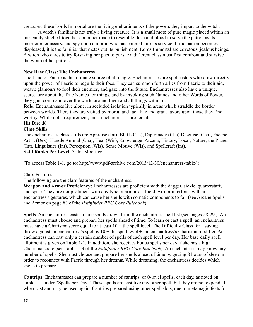creatures, these Lords Immortal are the living embodiments of the powers they impart to the witch.

A witch's familiar is not truly a living creature. It is a small mote of pure magic placed within an intricately stitched-together container made to resemble flesh and blood to serve the patron as its instructor, emissary, and spy upon a mortal who has entered into its service. If the patron becomes displeased, it is the familiar that metes out its punishment. Lords Immortal are covetous, jealous beings. A witch who dares to try forsaking her pact to pursue a different class must first confront and survive the wrath of her patron.

## **New Base Class: The Enchantress**

The Land of Faerie is the ultimate source of all magic. Enchantresses are spellcasters who draw directly upon the power of Faerie to beguile their foes. They can summon forth allies from Faerie to their aid, weave glamours to fool their enemies, and gaze into the future. Enchantresses also have a unique, secret lore about the True Names for things, and by invoking such Names and other Words of Power, they gain command over the world around them and all things within it.

**Role:** Enchantresses live alone, in secluded isolation typically in areas which straddle the border between worlds. There they are visited by mortal and fae alike and grant favors upon those they find worthy. While not a requirement, most enchantresses are female.

#### **Hit Die:** d6 **Class Skills**

The enchantress's class skills are Appraise (Int), Bluff (Cha), Diplomacy (Cha) Disguise (Cha), Escape Artist (Dex), Handle Animal (Cha), Heal (Wis), Knowledge: Arcana, History, Local, Nature, the Planes (Int), Linguistics (Int), Perception (Wis), Sense Motive (Wis), and Spellcraft (Int). **Skill Ranks Per Level:** 3+Int Modifier

(To access Table 1-1, go to: http://www.pdf-archive.com/2013/12/30/enchantress-table/ )

## Class Features

The following are the class features of the enchantress.

**Weapon and Armor Proficiency:** Enchantresses are proficient with the dagger, sickle, quarterstaff, and spear. They are not proficient with any type of armor or shield. Armor interferes with an enchantress's gestures, which can cause her spells with somatic components to fail (see Arcane Spells and Armor on page 83 of the *Pathfinder RPG Core Rulebook*).

**Spells** An enchantress casts arcane spells drawn from the enchantress spell list (see pages 28-29 ). An enchantress must choose and prepare her spells ahead of time. To learn or cast a spell, an enchantress must have a Charisma score equal to at least  $10 +$  the spell level. The Difficulty Class for a saving throw against an enchantress's spell is  $10 +$  the spell level  $+$  the enchantress's Charisma modifier. An enchantress can cast only a certain number of spells of each spell level per day. Her base daily spell allotment is given on Table 1-1. In addition, she receives bonus spells per day if she has a high Charisma score (see Table 1–3 of the *Pathfinder RPG Core Rulebook*). An enchantress may know any number of spells. She must choose and prepare her spells ahead of time by getting 8 hours of sleep in order to reconnect with Faerie through her dreams. While dreaming, the enchantress decides which spells to prepare.

**Cantrips:** Enchantresses can prepare a number of cantrips, or 0-level spells, each day, as noted on Table 1-1 under "Spells per Day." These spells are cast like any other spell, but they are not expended when cast and may be used again. Cantrips prepared using other spell slots, due to metamagic feats for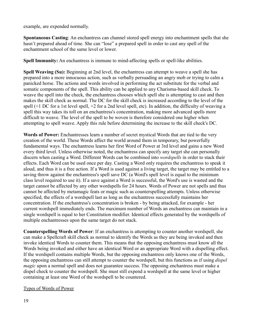example, are expended normally.

**Spontaneous Casting**: An enchantress can channel stored spell energy into enchantment spells that she hasn't prepared ahead of time. She can "lose" a prepared spell in order to cast any spell of the enchantment school of the same level or lower.

**Spell Immunity:** An enchantress is immune to mind-affecting spells or spell-like abilities.

**Spell Weaving (Su):** Beginning at 2nd level, the enchantress can attempt to weave a spell she has prepared into a more innocuous action, such as verbally persuading an angry mob or trying to calm a panicked horse. The actions and words involved in performing the act substitute for the verbal and somatic components of the spell. This ability can be applied to any Charisma-based skill check. To weave the spell into the check, the enchantress chooses which spell she is attempting to cast and then makes the skill check as normal. The DC for the skill check is increased according to the level of the spell (+1 DC for a 1st level spell, +2 for a 2nd level spell, etc). In addition, the difficulty of weaving a spell this way takes its toll on an enchantress's concentration, making more advanced spells more difficult to weave. The level of the spell to be woven is therefore considered one higher when attempting to spell weave. Apply this rule before determining the increase to the skill check's DC.

**Words of Power:** Enchantresses learn a number of secret mystical Words that are tied to the very creation of the world. These Words affect the world around them in temporary, but powerfully fundamental ways. The enchantress learns her first Word of Power at 3rd level and gains a new Word every third level. Unless otherwise noted, the enchantress can specify any target she can personally discern when casting a Word. Different Words can be combined into *wordspells* in order to stack their effects. Each Word can be used once per day. Casting a Word only requires the enchantress to speak it aloud, and thus it is a free action. If a Word is used against a living target, the target may be entitled to a saving throw against the enchantress's spell save DC (a Word's spell level is equal to the minimum class level required to use it). If a save against a Word is successful, the Word's use is wasted and the target cannot be affected by any other wordspells for 24 hours. Words of Power are not spells and thus cannot be affected by metamagic feats or magic such as counterspelling attempts. Unless otherwise specified, the effects of a wordspell last as long as the enchantress successfully maintains her concentration. If the enchantress's concentration is broken - by being attacked, for example - her current wordspell immediately ends. The maximum number of Words an enchantress can maintain in a single wordspell is equal to her Constitution modifier. Identical effects generated by the wordspells of multiple enchantresses upon the same target do not stack.

**Counterspelling Words of Power**: If an enchantress is attempting to counter another wordspell, she can make a Spellcraft skill check as normal to identify the Words as they are being invoked and then invoke identical Words to counter them. This means that the opposing enchantress must know all the Words being invoked and either have an identical Word or an appropriate Word with a dispelling effect. If the wordspell contains multiple Words, but the opposing enchantress only knows one of the Words, the opposing enchantress can still attempt to counter the wordspell, but this functions as if using *dispel magic* upon a normal spell and does not guarantee success. The opposing enchantress must make a dispel check to counter the wordspell. She must still expend a wordspell at the same level or higher containing at least one Word of the wordspell to be countered.

## Types of Words of Power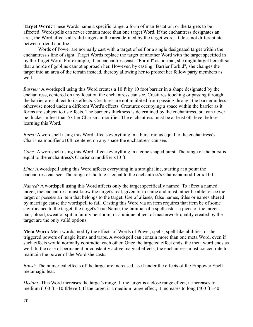**Target Word:** These Words name a specific range, a form of manifestation, or the targets to be affected. Wordspells can never contain more than one target Word. If the enchantress designates an area, the Word effects all valid targets in the area defined by the target word. It does not differentiate between friend and foe.

Words of Power are normally cast with a target of self or a single designated target within the enchantress's line of sight. Target Words replace the target of another Word with the target specified in by the Target Word. For example, if an enchantress casts "Forbid" as normal, she might target herself so that a horde of goblins cannot approach her. However, by casting "Barrier Forbid", she changes the target into an area of the terrain instead, thereby allowing her to protect her fellow party members as well.

*Barrier:* A wordspell using this Word creates a 10 ft by 10 foot barrier in a shape designated by the enchantress, centered on any location the enchantress can see. Creatures touching or passing through the barrier are subject to its effects. Creatures are not inhibited from passing through the barrier unless otherwise noted under a different Word's effects. Creatures occupying a space within the barrier as it forms are subject to its effects. The barrier's thickness is determined by the enchantress, but can never be thicker in feet than 5x her Charisma modifier. The enchantress must be at least 6th level before learning this Word.

*Burst:* A wordspell using this Word affects everything in a burst radius equal to the enchantress's Charisma modifier x10ft, centered on any space the enchantress can see.

*Cone:* A wordspell using this Word affects everything in a cone shaped burst. The range of the burst is equal to the enchantress's Charisma modifier x10 ft.

*Line:* A wordspell using this Word affects everything in a straight line, starting at a point the enchantress can see. The range of the line is equal to the enchantress's Charisma modifier x 10 ft.

*Named:* A wordspell using this Word affects only the target specifically named. To affect a named target, the enchantress must know the target's real, given birth name and must either be able to see the target or possess an item that belongs to the target. Use of aliases, false names, titles or names altered by marriage cause the wordspell to fail. Casting this Word via an item requires that item be of some significance to the target: the target's True Name, the familiar of a spellcaster; a piece of the target's hair, blood, sweat or spit; a family heirloom; or a unique object of masterwork quality created by the target are the only valid options.

**Meta Word:** Meta words modify the effects of Words of Power, spells, spell-like abilities, or the triggered powers of magic items and traps. A wordspell can contain more than one meta Word, even if such effects would normally contradict each other. Once the targeted effect ends, the meta word ends as well. In the case of permanent or constantly active magical effects, the enchantress must concentrate to maintain the power of the Word she casts.

*Boost:* The numerical effects of the target are increased, as if under the effects of the Empower Spell metamagic feat.

*Distant:* This Word increases the target's range. If the target is a close range effect, it increases to medium (100 ft +10 ft/level). If the target is a medium range effect, it increases to long (400 ft +40)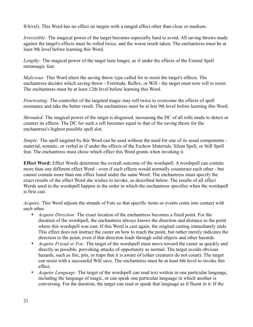ft/level). This Word has no effect on targets with a ranged effect other than close or medium.

*Irresistible:* The magical power of the target becomes especially hard to avoid. All saving throws made against the target's effects must be rolled twice, and the worse result taken. The enchantress must be at least 9th level before learning this Word.

*Lengthy:* The magical power of the target lasts longer, as if under the effects of the Extend Spell metamagic feat.

*Malicious:* This Word alters the saving throw type called for to resist the target's effects. The enchantress decides which saving throw - Fortitude, Reflex, or Will - the target must now roll to resist. The enchantress must be at least 12th level before learning this Word.

*Penetrating:* The controller of the targeted magic may roll twice to overcome the effects of spell resistance and take the better result. The enchantress must be at lest 9th level before learning this Word.

*Shrouded:* The magical power of the target is disguised, increasing the DC of all rolls made to detect or counter its effects. The DC for such a roll becomes equal to that of the saving throw for the enchantress's highest possible spell slot.

*Simple:* The spell targeted by this Word can be used without the need for one of its usual components material, somatic, or verbal as if under the effects of the Eschew Materials, Silent Spell, or Still Spell feat. The enchantress must chose which effect this Word grants when invoking it.

**Effect Word:** Effect Words determine the overall outcome of the wordspell. A wordspell can contain more than one different effect Word - even if such effects would normally counteract each other - but cannot contain more than one effect listed under the same Word. The enchantress must specify the exact results of the effect Word she wishes to invoke, as described below. The results of all effect Words used in the wordspell happen in the order in which the enchantress specifies when the wordspell is first cast.

*Acquire:* This Word adjusts the strands of Fate so that specific items or events come into contact with each other.

- *Acquire Direction:* The exact location of the enchantress becomes a fixed point. For the duration of the wordspell, the enchantress always knows the direction and distance to the point where this wordspell was cast. If this Word is cast again, the original casting immediately ends. This effect does not instruct the caster on how to reach the point, but rather merely indicates the direction to the point, even if that direction leads through solid objects and other hazards.
- *Acquire Friend or Foe:* The target of the wordspell must move toward the caster as quickly and directly as possible, provoking attacks of opportunity as normal. The target avoids obvious hazards, such as fire, pits, or traps that it is aware of (other creatures do not count). The target can resist with a successful Will save. The enchantress must be at least 6th level to invoke this effect.
- *Acquire Language:* The target of the wordspell can read text written in one particular language, including the language of magic, or can speak one particular language in which another is conversing. For the duration, the target can read or speak that language as if fluent in it. If the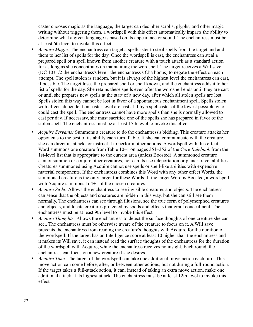caster chooses magic as the language, the target can decipher scrolls, glyphs, and other magic writing without triggering them. a wordspell with this effect automatically imparts the ability to determine what a given language is based on its appearance or sound. The enchantress must be at least 6th level to invoke this effect.

- *Acquire Magic:* The enchantress can target a spellcaster to steal spells from the target and add them to her list of spells for the day. Once the wordspell is cast, the enchantress can steal a prepared spell or a spell known from another creature with a touch attack as a standard action for as long as she concentrates on maintaining the wordspell. The target receives a Will save (DC 10+1/2 the enchantress's level+the enchantress's Cha bonus) to negate the effect on each attempt. The spell stolen is random, but it is always of the highest level the enchantress can cast, if possible. The target loses the prepared spell or spell known, and the enchantress adds it to her list of spells for the day. She retains these spells even after the wordspell ends until they are cast or until she prepares new spells at the start of a new day, after which all stolen spells are lost. Spells stolen this way cannot be lost in favor of a spontaneous enchantment spell. Spells stolen with effects dependent on caster level are cast at if by a spellcaster of the lowest possible who could cast the spell. The enchantress cannot have more spells than she is normally allowed to cast per day. If necessary, she must sacrifice one of the spells she has prepared in favor of the stolen spell. The enchantress must be at least 15th level to invoke this effect.
- *Acquire Servants:* Summons a creature to do the enchantress's bidding. This creature attacks her opponents to the best of its ability each turn if able. If she can communicate with the creature, she can direct its attacks or instruct it to perform other actions. A wordspell with this effect Word summons one creature from Table 10–1 on pages 351–352 of the *Core Rulebook* from the 1st-level list that is appropriate to the current area (unless Boosted). A summoned creature cannot summon or conjure other creatures, nor can its use teleportation or planar travel abilities. Creatures summoned using Acquire cannot use spells or spell-like abilities with expensive material components. If the enchantress combines this Word with any other effect Words, the summoned creature is the only target for these Words. If the target Word is Boosted, a wordspell with Acquire summons  $1d4+1$  of the chosen creatures.
- *Acquire Sight:* Allows the enchantress to see invisible creatures and objects. The enchantress can sense that the objects and creatures are hidden in this way, but she can still see them normally. The enchantress can see through illusions, see the true form of polymorphed creatures and objects, and locate creatures protected by spells and effects that grant concealment. The enchantress must be at least 9th level to invoke this effect.
- *Acquire Thoughts:* Allows the enchantress to detect the surface thoughts of one creature she can see.. The enchantress must be otherwise aware of the creature to focus on it. A Will save prevents the enchantress from reading the creature's thoughts with Acquire for the duration of the wordspell. If the target has an Intelligence score at least 10 higher than the enchantress and it makes its Will save, it can instead read the surface thoughts of the enchantress for the duration of the wordspell with Acquire, while the enchantress receives no insight. Each round, the enchantress can focus on a new creature if she desires.
- *Acquire Time:* The target of the wordspell can take one additional move action each turn. This move action can come before, after, or between other actions, but not during a full-round action. If the target takes a full-attack action, it can, instead of taking an extra move action, make one additional attack at its highest attack. The enchantress must be at least 12th level to invoke this effect.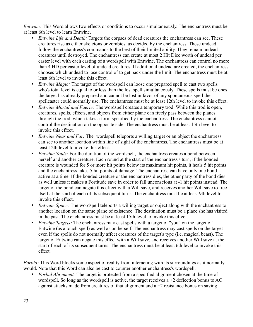*Entwine:* This Word allows two effects or conditions to occur simultaneously. The enchantress must be at least 6th level to learn Entwine.

- *Entwine Life and Death:* Targets the corpses of dead creatures the enchantress can see. These creatures rise as either skeletons or zombies, as decided by the enchantress. These undead follow the enchantress's commands to the best of their limited ability. They remain undead creatures until destroyed. The enchantress can create at most 2 Hit Dice worth of undead per caster level with each casting of a wordspell with Entwine. The enchantress can control no more than 4 HD per caster level of undead creatures. If additional undead are created, the enchantress chooses which undead to lose control of to get back under the limit. The enchantress must be at least 6th level to invoke this effect.
- *Entwine Magic:* The target of the wordspell can loose one prepared spell to cast two spells who's total level is equal to or less than the lost spell simultaneously. These spells must be ones the target has already prepared and cannot be lost in favor of any spontaneous spell the spellcaster could normally use. The enchantress must be at least 12th level to invoke this effect.
- *Entwine Mortal and Faerie:* The wordspell creates a temporary trod. While this trod is open, creatures, spells, effects, and objects from either plane can freely pass between the planes through the trod, which takes a form specified by the enchantress. The enchantress cannot control the destination on the opposite side. The enchantress must be at least 15th level to invoke this effect.
- *Entwine Near and Far:* The wordspell teleports a willing target or an object the enchantress can see to another location within line of sight of the enchantress. The enchantress must be at least 12th level to invoke this effect.
- *Entwine Souls:* For the duration of the wordspell, the enchantress creates a bond between herself and another creature. Each round at the start of the enchantress's turn, if the bonded creature is wounded for 5 or more hit points below its maximum hit points, it heals 5 hit points and the enchantress takes 5 hit points of damage. The enchantress can have only one bond active at a time. If the bonded creature or the enchantress dies, the other party of the bond dies as well unless it makes a Fortitude save in order to fall unconscious at -1 hit points instead. The target of the bond can negate this effect with a Will save, and receives another Will save to free itself at the start of each of its subsequent turns. The enchantress must be at least 9th level to invoke this effect.
- *Entwine Space:* The wordspell teleports a willing target or object along with the enchantress to another location on the same plane of existence. The destination must be a place she has visited in the past. The enchantress must be at least 15th level to invoke this effect.
- *Entwine Targets:* The enchantress may cast spells with a target of "you" on the target of Entwine (as a touch spell) as well as on herself. The enchantress may cast spells on the target even if the spells do not normally affect creatures of the target's type (i.e. magical beast). The target of Entwine can negate this effect with a Will save, and receives another Will save at the start of each of its subsequent turns. The enchantress must be at least 6th level to invoke this effect.

*Forbid:* This Word blocks some aspect of reality from interacting with its surroundings as it normally would. Note that this Word can also be cast to counter another enchantress's wordspell.

• *Forbid Alignment:* The target is protected from a specified alignment chosen at the time of wordspell. So long as the wordspell is active, the target receives a  $+2$  deflection bonus to AC against attacks made from creatures of that alignment and a +2 resistance bonus on saving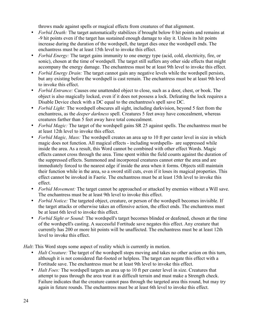throws made against spells or magical effects from creatures of that alignment.

- *Forbid Death:* The target automatically stabilizes if brought below 0 hit points and remains at -9 hit points even if the target has sustained enough damage to slay it. Unless its hit points increase during the duration of the wordspell, the target dies once the wordspell ends. The enchantress must be at least 15th level to invoke this effect.
- *Forbid Energy:* The target gains immunity to one energy type (acid, cold, electricity, fire, or sonic), chosen at the time of wordspell. The target still suffers any other side effects that might accompany the energy damage. The enchantress must be at least 9th level to invoke this effect.
- *Forbid Energy Drain:* The target cannot gain any negative levels while the wordspell persists, but any existing before the wordspell is cast remain. The enchantress must be at least 9th level to invoke this effect.
- *Forbid Entrance:* Causes one unattended object to close, such as a door, chest, or book. The object is also magically locked, even if it does not possess a lock. Defeating the lock requires a Disable Device check with a DC equal to the enchantress's spell save DC.
- *Forbid Light:* The wordspell obscures all sight, including darkvision, beyond 5 feet from the enchantress, as the *deeper darkness* spell. Creatures 5 feet away have concealment, whereas creatures farther than 5 feet away have total concealment.
- *Forbid Magic:* The target of the wordspell gains SR 25 against spells. The enchantress must be at least 12th level to invoke this effect.
- *Forbid Magic, Mass:* The wordspell creates an area up to 10 ft per caster level in size in which magic does not function. All magical effects - including wordspells- are suppressed while inside the area. As a result, this Word cannot be combined with other effect Words. Magic effects cannot cross through the area. Time spent within the field counts against the duration of the suppressed effects. Summoned and incorporeal creatures cannot enter the area and are immediately forced to the nearest edge if inside the area when it forms. Objects still maintain their function while in the area, so a sword still cuts, even if it loses its magical properties. This effect cannot be invoked in Faerie. The enchantress must be at least 15th level to invoke this effect.
- *Forbid Movement:* The target cannot be approached or attacked by enemies without a Will save. The enchantress must be at least 9th level to invoke this effect.
- *Forbid Notice:* The targeted object, creature, or person of the wordspell becomes invisible. If the target attacks or otherwise takes an offensive action, the effect ends. The enchantress must be at least 6th level to invoke this effect.
- *Forbid Sight or Sound:* The wordspell's target becomes blinded or deafened, chosen at the time of the wordspell's casting. A successful Fortitude save negates this effect. Any creature that currently has 200 or more hit points will be unaffected. The enchantress must be at least 12th level to invoke this effect.

*Halt*: This Word stops some aspect of reality which is currently in motion.

- *Halt Creature:* The target of the wordspell stops moving and takes no other action on this turn, although it is not considered flat-footed or helpless. The target can negate this effect with a Fortitude save. The enchantress must be at least 9th level to invoke this effect.
- *Halt Foes:* The wordspell targets an area up to 10 ft per caster level in size. Creatures that attempt to pass through the area treat it as difficult terrain and must make a Strength check. Failure indicates that the creature cannot pass through the targeted area this round, but may try again in future rounds. The enchantress must be at least 6th level to invoke this effect.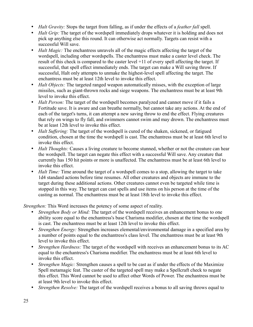- *Halt Gravity:* Stops the target from falling, as if under the effects of a *feather fall* spell.
- *Halt Grip:* The target of the wordspell immediately drops whatever it is holding and does not pick up anything else this round. It can otherwise act normally. Targets can resist with a successful Will save.
- *Halt Magic:* The enchantress unravels all of the magic effects affecting the target of the wordspell, including other wordspells. The enchantress must make a caster level check. The result of this check is compared to the caster level +11 of every spell affecting the target. If successful, that spell effect immediately ends. The target can make a Will saving throw. If successful, Halt only attempts to unmake the highest-level spell affecting the target. The enchantress must be at least 12th level to invoke this effect.
- *Halt Objects:* The targeted ranged weapon automatically misses, with the exception of large missiles, such as giant-thrown rocks and siege weapons. The enchantress must be at least 9th level to invoke this effect.
- *Halt Person:* The target of the wordspell becomes paralyzed and cannot move if it fails a Fortitude save. It is aware and can breathe normally, but cannot take any actions. At the end of each of the target's turns, it can attempt a new saving throw to end the effect. Flying creatures that rely on wings to fly fall, and swimmers cannot swim and may drown. The enchantress must be at least 12th level to invoke this effect.
- *Halt Suffering:* The target of the wordspell is cured of the shaken, sickened, or fatigued condition, chosen at the time the wordspell is cast. The enchantress must be at least 6th level to invoke this effect.
- *Halt Thoughts:* Causes a living creature to become stunned, whether or not the creature can hear the wordspell. The target can negate this effect with a successful Will save. Any creature that currently has 150 hit points or more is unaffected. The enchantress must be at least 6th level to invoke this effect.
- *Halt Time:* Time around the target of a wordspell comes to a stop, allowing the target to take 1d4 standard actions before time resumes. All other creatures and objects are immune to the target during these additional actions. Other creatures cannot even be targeted while time is stopped in this way. The target can cast spells and use items on his person at the time of the casting as normal. The enchantress must be at least 18th level to invoke this effect.

*Strengthen:* This Word increases the potency of some aspect of reality.

- *Strengthen Body or Mind:* The target of the wordspell receives an enhancement bonus to one ability score equal to the enchantress's base Charisma modifier, chosen at the time the wordspell is cast. The enchantress must be at least 12th level to invoke this effect.
- *Strengthen Energy:* Strengthen increases elemental/environmental damage in a specified area by a number of points equal to the enchantress's class level. The enchantress must be at least 9th level to invoke this effect.
- *Strengthen Hardness:* The target of the wordspell with receives an enhancement bonus to its AC equal to the enchantress's Charisma modifier. The enchantress must be at least 6th level to invoke this effect.
- *Strengthen Magic:* Strengthen causes a spell to be cast as if under the effects of the Maximize Spell metamagic feat. The caster of the targeted spell may make a Spellcraft check to negate this effect. This Word cannot be used to affect other Words of Power. The enchantress must be at least 9th level to invoke this effect.
- *Strengthen Resolve:* The target of the wordspell receives a bonus to all saving throws equal to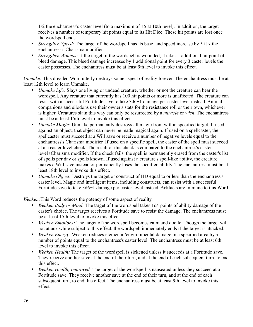$1/2$  the enchantress's caster level (to a maximum of  $+5$  at 10th level). In addition, the target receives a number of temporary hit points equal to its Hit Dice. These hit points are lost once the wordspell ends.

- *Strengthen Speed:* The target of the wordspell has its base land speed increase by 5 ft x the enchantress's Charisma modifier.
- *Strengthen Wounds:* If the target of the wordspell is wounded, it takes 1 additional hit point of bleed damage. This bleed damage increases by 1 additional point for every 3 caster levels the caster possesses. The enchantress must be at least 9th level to invoke this effect.

*Unmake:* This dreaded Word utterly destroys some aspect of reality forever. The enchantress must be at least 12th level to learn Unmake.

- *Unmake Life:* Slays one living or undead creature, whether or not the creature can hear the wordspell. Any creature that currently has 100 hit points or more is unaffected. The creature can resist with a successful Fortitude save to take 3d6+1 damage per caster level instead. Animal companions and eilodons use their owner's stats for the resistance roll or their own, whichever is higher. Creatures slain this way can only be resurrected by a *miracle* or *wish*. The enchantress must be at least 15th level to invoke this effect.
- *Unmake Magic:* Unmake permanently destroys all magic from within specified target. If used against an object, that object can never be made magical again. If used on a spellcaster, the spellcaster must succeed at a Will save or receive a number of negative levels equal to the enchantress's Charisma modifier. If used on a specific spell, the caster of the spell must succeed at a a caster level check. The result of this check is compared to the enchantress's caster level+Charisma modifier. If the check fails, the spell is permanently erased from the caster's list of spells per day or spells known. If used against a creature's spell-like ability, the creature makes a Will save instead or permanently loses the specified ability. The enchantress must be at least 18th level to invoke this effect.
- *Unmake Object:* Destroys the target or construct of HD equal to or less than the enchantress's caster level. Magic and intelligent items, including constructs, can resist with a successful Fortitude save to take 3d6+1 damage per caster level instead. Artifacts are immune to this Word.

*Weaken:*This Word reduces the potency of some aspect of reality.

- *Weaken Body or Mind:* The target of the wordspell takes 1d4 points of ability damage of the caster's choice. The target receives a Fortitude save to resist the damage. The enchantress must be at least 15th level to invoke this effect.
- *Weaken Emotions:* The target of the wordspell becomes calm and docile. Though the target will not attack while subject to this effect, the wordspell immediately ends if the target is attacked.
- *Weaken Energy:* Weaken reduces elemental/environmental damage in a specified area by a number of points equal to the enchantress's caster level. The enchantress must be at least 6th level to invoke this effect.
- *Weaken Health:* The target of the wordspell is sickened unless it succeeds at a Fortitude save. They receive another save at the end of their turn, and at the end of each subsequent turn, to end this effect.
- *Weaken Health, Improved:* The target of the wordspell is nauseated unless they succeed at a Fortitude save. They receive another save at the end of their turn, and at the end of each subsequent turn, to end this effect. The enchantress must be at least 9th level to invoke this effect.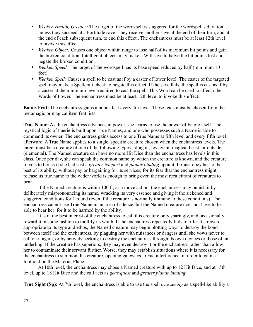- *Weaken Health, Greater:* The target of the wordspell is staggered for the wordspell's duration unless they succeed at a Fortitude save. They receive another save at the end of their turn, and at the end of each subsequent turn, to end this effect.. The enchantress must be at least 12th level to invoke this effect.
- *Weaken Object:* Causes one object within range to lose half of its maximum hit points and gain the broken condition. Intelligent objects may make a Will save to halve the hit points lost and negate the broken condition.
- *Weaken Speed:* The target of the wordspell has its base speed reduced by half (minimum 10) feet).
- *Weaken Spell:* Causes a spell to be cast as if by a caster of lower level. The caster of the targeted spell may make a Spellcraft check to negate this effect. If the save fails, the spell is cast as if by a caster at the minimum level required to cast the spell. This Word can be used to affect other Words of Power. The enchantress must be at least 12th level to invoke this effect.

**Bonus Feat:** The enchantress gains a bonus feat every 4th level. These feats must be chosen from the metamagic or magical item feat lists.

**True Name:** As the enchantress advances in power, she learns to use the power of Faerie itself. The mystical logic of Faerie is built upon True Names, and one who possesses such a Name is able to command its owner. The enchantress gains access to one True Name at fifth level and every fifth level afterward. A True Name applies to a single, specific creature chosen when the enchantress levels. The target must be a creature of one of the following types - dragon, fey, giant, magical beast, or outsider (elemental). The Named creature can have no more Hit Dice than the enchantress has levels in this class. Once per day, she can speak the common name by which the creature is known, and the creature travels to her as if she had cast a *greater teleport* and *planar binding* upon it. It must obey her to the best of its ability, without pay or bargaining for its services, for its fear that the enchantress might release its true name to the wider world is enough to bring even the most recalcitrant of creatures to bear.

If the Named creature is within 100 ft, as a move action, the enchantress may punish it by deliberately mispronouncing its name, wracking its very essence and giving it the sickened and staggered conditions for 1 round (even if the creature is normally immune to these conditions). The enchantress cannot use True Name in an area of silence, but the Named creature does not have to be able to hear her for it to be harmed by the ability.

It is in the best interest of the enchantress to call this creature only sparingly, and occasionally reward it in some fashion to mollify its wrath. If the enchantress repeatedly fails to offer it a reward appropriate to its type and ethos, the Named creature may begin plotting ways to destroy the bond between itself and the enchantress, by plaguing her with nuisances or dangers until she vows never to call on it again, or by actively seeking to destroy the enchantress through its own devices or those of an underling. If the creature has superiors, they may even destroy it or the enchantress rather than allow her to contaminate their servant further. Worse, they may establish situations where it is necessary for the enchantress to summon this creature, opening gateways to Fae interference, in order to gain a foothold on the Material Plane.

At 10th level, the enchantress may chose a Named creature with up to 12 Hit Dice, and at 15th level, up to 18 Hit Dice and the call acts as *geas/quest* and *greater planar binding*.

**True Sight (Sp):** At 7th level, the enchantress is able to use the spell *true seeing* as a spell-like ability a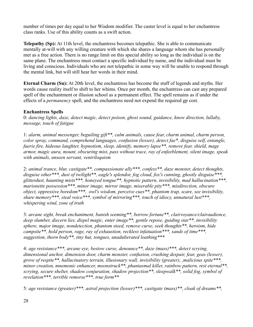number of times per day equal to her Wisdom modifier. The caster level is equal to her enchantress class ranks. Use of this ability counts as a swift action.

**Telepathy (Sp):** At 11th level, the enchantress becomes telepathic. She is able to communicate mentally at-will with any willing creature with which she shares a language whom she has personally met as a free action. There is no range limit on this special ability so long as the individual is on the same plane. The enchantress must contact a specific individual by name, and the individual must be living and conscious. Individuals who are not telepathic in some way will be unable to respond through the mental link, but will still hear her words in their mind.

**Eternal Charm (Su):** At 20th level, the enchantress has become the stuff of legends and myths. Her words cause reality itself to shift to her whims. Once per month, the enchantress can cast any prepared spell of the enchantment or illusion school as a permanent effect. The spell remains as if under the effects of a *permanency* spell, and the enchantress need not expend the required gp cost.

## **Enchantress Spells**

0: *dancing lights, daze, detect magic, detect poison, ghost sound, guidance, know direction, lullaby, message, touch of fatigue*

1: *alarm, animal messenger, beguiling gift\*\*, calm animals, cause fear, charm animal, charm person, color spray, command, comprehend languages, confusion (lesser), detect fae\*, disguise self, entangle, faerie fire, hideous laughter, hypnotism, sleep, identify, memory lapse\*\*, remove fear, shield, mage armor, magic aura, mount, obscuring mist, pass without trace, ray of enfeeblement, silent image, speak with animals, unseen servant, ventriloquism*

2: *animal trance, blur, castigate\*\*, compassionate ally\*\*\*, confess\*\*, daze monster, detect thoughts, disguise other\*\*\*, dust of twilight\*\*, eagle's splendor, fog cloud, fox's cunning, ghostly disguise\*\*\*, glitterdust, haunting mists\*\*\*, honeyed tongue\*\*, hypnotic pattern, invisibility, mad hallucination\*\*\*, marionette possession\*\*\*, minor image, mirror image, miserable pity\*\*\*, misdirection, obscure object, oppressive boredom\*\*\*, owl's wisdom, perceive cues\*\*, phantom trap, scare, see invisibility, share memory\*\*\*, steal voice\*\*\*, symbol of mirroring\*\*\*, touch of idiocy, unnatural lust\*\*\*, whispering wind, zone of truth*

3: *arcane sight, break enchantment, banish seeming\*\*, borrow fortune\*\*, clairvoyance/clairaudience, deep slumber, discern lies, dispel magic, enter image\*\*, gentle repose, guiding star\*\*, invisibility sphere, major image, nondetection, phantom steed, remove curse, seek thoughts\*\*, heroism, hide campsite\*\*, hold person, rage, ray of exhaustion, reckless infatuation\*\*\*, sands of time\*\*\*, suggestion, thorn body\*\*, tiny hut, tongues, unadulterated loathing\*\*\**

4: *age resistance\*\*\*, arcane eye, bestow curse, denounce\*\*, daze (mass)\*\*\*, detect scrying, dimensional anchor, dimension door, charm monster, confusion, crushing despair, fear, geas (lesser), grove of respite\*\*, hallucinatory terrain, illusionary wall, invisibility (greater), ,malicious spite\*\*\*, minor creation, mnemonic enhancer, moonstruck\*\*, phantasmal killer, rainbow pattern, rest eternal\*\*, scrying, secure shelter, shadow conjuration, shadow projection\*\*, sleepwalk\*\*, solid fog, symbol of revelation\*\*\*, terrible remorse\*\*\*, true form\*\**

5: *age resistance (greater)\*\*\*, astral projection (lesser)\*\*\*, castigate (mass)\*\*, cloak of dreams\*\*,*